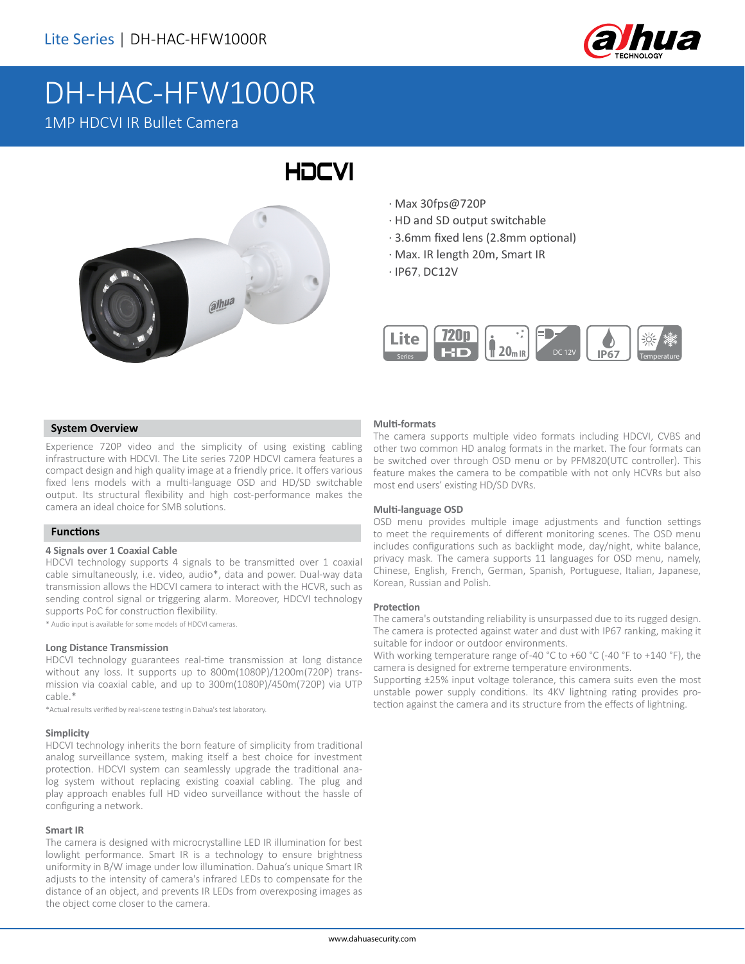

# DH-HAC-HFW1000R 1MP HDCVI IR Bullet Camera

# $a^{\parallel}$

· Max 30fps@720P

HOCVI

- · HD and SD output switchable
- · 3.6mm fixed lens (2.8mm optional)
- · Max. IR length 20m, Smart IR
- · IP67, DC12V



### **System Overview**

Experience 720P video and the simplicity of using existing cabling infrastructure with HDCVI. The Lite series 720P HDCVI camera features a compact design and high quality image at a friendly price. It offers various fixed lens models with a multi-language OSD and HD/SD switchable output. Its structural flexibility and high cost-performance makes the camera an ideal choice for SMB solutions.

### **Functions**

### **4 Signals over 1 Coaxial Cable**

HDCVI technology supports 4 signals to be transmitted over 1 coaxial cable simultaneously, i.e. video, audio\*, data and power. Dual-way data transmission allows the HDCVI camera to interact with the HCVR, such as sending control signal or triggering alarm. Moreover, HDCVI technology supports PoC for construction flexibility.

\* Audio input is available for some models of HDCVI cameras.

### **Long Distance Transmission**

HDCVI technology guarantees real-time transmission at long distance without any loss. It supports up to 800m(1080P)/1200m(720P) transmission via coaxial cable, and up to 300m(1080P)/450m(720P) via UTP cable.\*

\*Actual results verified by real-scene testing in Dahua's test laboratory.

### **Simplicity**

HDCVI technology inherits the born feature of simplicity from traditional analog surveillance system, making itself a best choice for investment protection. HDCVI system can seamlessly upgrade the traditional analog system without replacing existing coaxial cabling. The plug and play approach enables full HD video surveillance without the hassle of configuring a network.

### **Smart IR**

The camera is designed with microcrystalline LED IR illumination for best lowlight performance. Smart IR is a technology to ensure brightness uniformity in B/W image under low illumination. Dahua's unique Smart IR adjusts to the intensity of camera's infrared LEDs to compensate for the distance of an object, and prevents IR LEDs from overexposing images as the object come closer to the camera.

### **Multi-formats**

The camera supports multiple video formats including HDCVI, CVBS and other two common HD analog formats in the market. The four formats can be switched over through OSD menu or by PFM820(UTC controller). This feature makes the camera to be compatible with not only HCVRs but also most end users' existing HD/SD DVRs.

### **Multi-language OSD**

OSD menu provides multiple image adjustments and function settings to meet the requirements of different monitoring scenes. The OSD menu includes configurations such as backlight mode, day/night, white balance, privacy mask. The camera supports 11 languages for OSD menu, namely, Chinese, English, French, German, Spanish, Portuguese, Italian, Japanese, Korean, Russian and Polish.

### **Protection**

The camera's outstanding reliability is unsurpassed due to its rugged design. The camera is protected against water and dust with IP67 ranking, making it suitable for indoor or outdoor environments.

With working temperature range of-40 °C to +60 °C (-40 °F to +140 °F), the camera is designed for extreme temperature environments.

Supporting ±25% input voltage tolerance, this camera suits even the most unstable power supply conditions. Its 4KV lightning rating provides protection against the camera and its structure from the effects of lightning.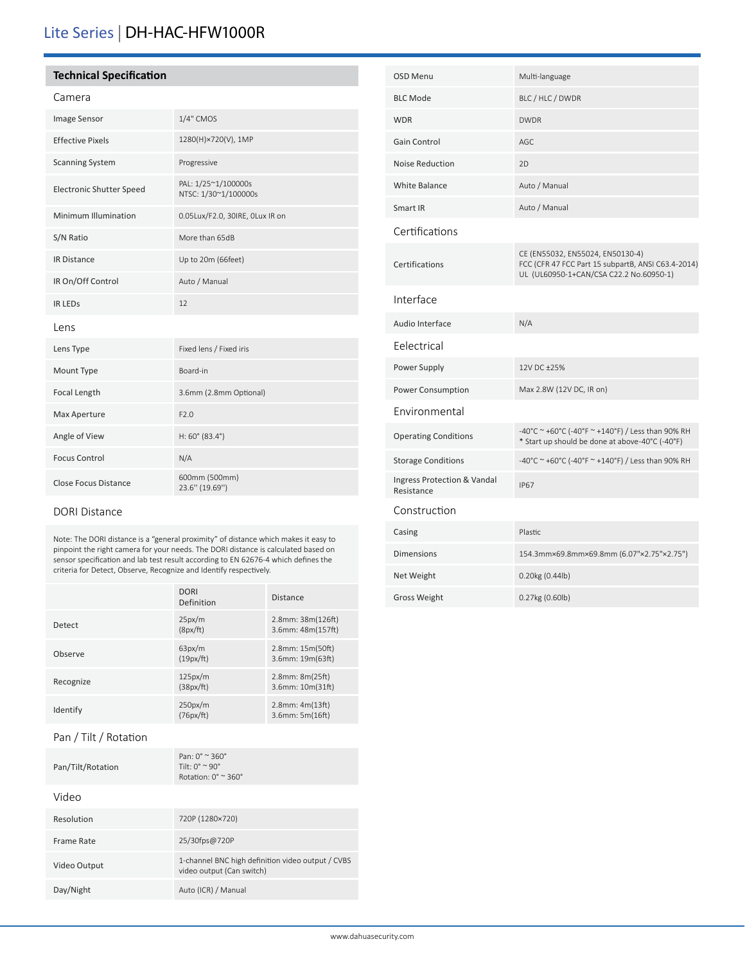# Lite Series | DH-HAC-HFW1000R

### **Technical Specification**

### Camera

| Image Sensor                    | 1/4" CMOS                                   |  |
|---------------------------------|---------------------------------------------|--|
| <b>Effective Pixels</b>         | 1280(H)×720(V), 1MP                         |  |
| <b>Scanning System</b>          | Progressive                                 |  |
| <b>Electronic Shutter Speed</b> | PAL: 1/25~1/100000s<br>NTSC: 1/30~1/100000s |  |
| Minimum Illumination            | 0.05Lux/F2.0, 30IRE, OLux IR on             |  |
| S/N Ratio                       | More than 65dB                              |  |
| <b>IR Distance</b>              | Up to 20m (66feet)                          |  |
| IR On/Off Control               | Auto / Manual                               |  |
| <b>IR LEDS</b>                  | 12                                          |  |
| Lens                            |                                             |  |
| Lens Type                       | Fixed lens / Fixed iris                     |  |
| Mount Type                      | Board-in                                    |  |
| Focal Length                    | 3.6mm (2.8mm Optional)                      |  |
| Max Aperture                    | F2.0                                        |  |
| Angle of View                   | $H: 60^{\circ}$ (83.4°)                     |  |
| <b>Focus Control</b>            | N/A                                         |  |
| <b>Close Focus Distance</b>     | 600mm (500mm)<br>23.6" (19.69")             |  |

### DORI Distance

Note: The DORI distance is a "general proximity" of distance which makes it easy to pinpoint the right camera for your needs. The DORI distance is calculated based on sensor specification and lab test result according to EN 62676-4 which defines the criteria for Detect, Observe, Recognize and Identify respectively.

|           | <b>DORI</b><br>Definition | <b>Distance</b>                         |
|-----------|---------------------------|-----------------------------------------|
| Detect    | 25px/m<br>(8px/ft)        | 2.8mm: 38m(126ft)<br>3.6mm: 48m(157ft)  |
| Observe   | 63px/m<br>(19px/ft)       | 2.8mm: 15m(50ft)<br>3.6mm: 19m(63ft)    |
| Recognize | 125px/m<br>(38px/ft)      | 2.8mm: 8m(25ft)<br>3.6mm: 10m(31ft)     |
| Identify  | 250px/m<br>(76px/ft)      | $2.8$ mm: $4m(13ft)$<br>3.6mm: 5m(16ft) |

### Pan / Tilt / Rotation

| Pan/Tilt/Rotation | Pan: $0^\circ \approx 360^\circ$<br>Tilt. $0^{\circ} \sim 90^{\circ}$<br>Rotation: $0^\circ \approx 360^\circ$ |
|-------------------|----------------------------------------------------------------------------------------------------------------|
| Video             |                                                                                                                |
| Resolution        | 720P (1280×720)                                                                                                |
| Frame Rate        | 25/30fps@720P                                                                                                  |
| Video Output      | 1-channel BNC high definition video output / CVBS<br>video output (Can switch)                                 |
| Day/Night         | Auto (ICR) / Manual                                                                                            |

| <b>OSD Menu</b>                           | Multi-language                                                                                                                    |
|-------------------------------------------|-----------------------------------------------------------------------------------------------------------------------------------|
| <b>BLC Mode</b>                           | BLC / HLC / DWDR                                                                                                                  |
| <b>WDR</b>                                | <b>DWDR</b>                                                                                                                       |
| Gain Control                              | AGC                                                                                                                               |
| Noise Reduction                           | 2D                                                                                                                                |
| <b>White Balance</b>                      | Auto / Manual                                                                                                                     |
| Smart IR                                  | Auto / Manual                                                                                                                     |
| Certifications                            |                                                                                                                                   |
| Certifications                            | CE (EN55032, EN55024, EN50130-4)<br>FCC (CFR 47 FCC Part 15 subpartB, ANSI C63.4-2014)<br>UL (UL60950-1+CAN/CSA C22.2 No.60950-1) |
| Interface                                 |                                                                                                                                   |
| Audio Interface                           | N/A                                                                                                                               |
| Eelectrical                               |                                                                                                                                   |
| Power Supply                              | 12V DC +25%                                                                                                                       |
| Power Consumption                         | Max 2.8W (12V DC, IR on)                                                                                                          |
| Environmental                             |                                                                                                                                   |
| <b>Operating Conditions</b>               | -40°C ~ +60°C (-40°F ~ +140°F) / Less than 90% RH<br>* Start up should be done at above-40°C (-40°F)                              |
| <b>Storage Conditions</b>                 | -40°C ~ +60°C (-40°F ~ +140°F) / Less than 90% RH                                                                                 |
| Ingress Protection & Vandal<br>Resistance | <b>IP67</b>                                                                                                                       |
| Construction                              |                                                                                                                                   |
| Casing                                    | Plastic                                                                                                                           |
| <b>Dimensions</b>                         | 154.3mm×69.8mm×69.8mm (6.07"×2.75"×2.75")                                                                                         |
| Net Weight                                | 0.20kg (0.44lb)                                                                                                                   |

Gross Weight 0.27kg (0.60lb)